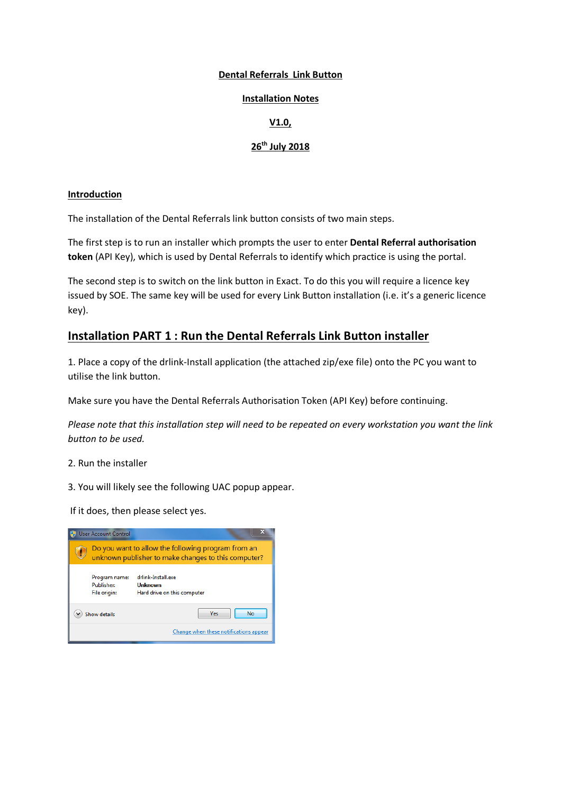#### **Dental Referrals Link Button**

#### **Installation Notes**

### **V1.0,**

## **26th July 2018**

#### **Introduction**

The installation of the Dental Referrals link button consists of two main steps.

The first step is to run an installer which prompts the user to enter **Dental Referral authorisation token** (API Key), which is used by Dental Referrals to identify which practice is using the portal.

The second step is to switch on the link button in Exact. To do this you will require a licence key issued by SOE. The same key will be used for every Link Button installation (i.e. it's a generic licence key).

## **Installation PART 1 : Run the Dental Referrals Link Button installer**

1. Place a copy of the drlink-Install application (the attached zip/exe file) onto the PC you want to utilise the link button.

Make sure you have the Dental Referrals Authorisation Token (API Key) before continuing.

*Please note that this installation step will need to be repeated on every workstation you want the link button to be used.*

- 2. Run the installer
- 3. You will likely see the following UAC popup appear.

If it does, then please select yes.

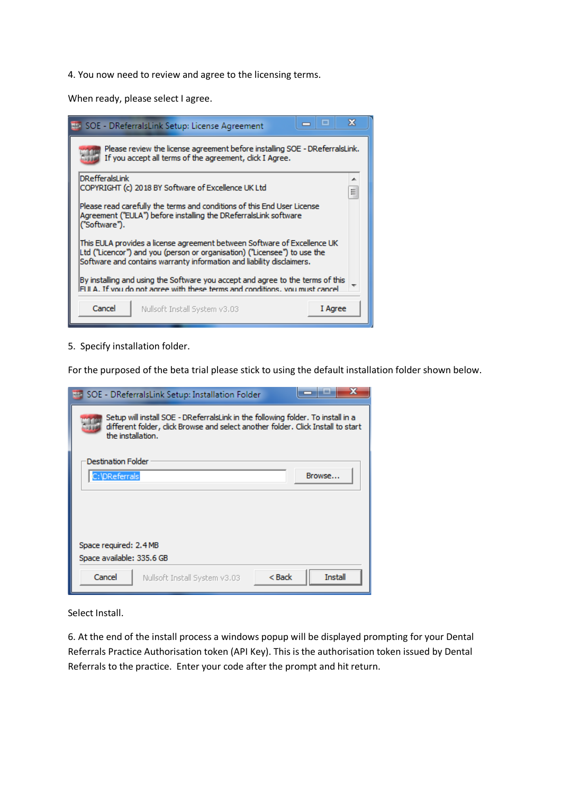4. You now need to review and agree to the licensing terms.

When ready, please select I agree.

| х<br>▣<br><b>HA SOE - DReferralsLink Setup: License Agreement</b>                                                                                                                                                              |  |  |  |  |  |  |  |  |
|--------------------------------------------------------------------------------------------------------------------------------------------------------------------------------------------------------------------------------|--|--|--|--|--|--|--|--|
| Please review the license agreement before installing SOE - DReferralsLink.<br>If you accept all terms of the agreement, dick I Agree.                                                                                         |  |  |  |  |  |  |  |  |
| <b>DRefferalsLink</b><br>┻<br>COPYRIGHT (c) 2018 BY Software of Excellence UK Ltd<br>Ξ                                                                                                                                         |  |  |  |  |  |  |  |  |
| Please read carefully the terms and conditions of this End User License<br>Agreement ("EULA") before installing the DReferralsLink software<br>("Software").                                                                   |  |  |  |  |  |  |  |  |
| This EULA provides a license agreement between Software of Excellence UK<br>Ltd ("Licencor") and you (person or organisation) ("Licensee") to use the<br>Software and contains warranty information and liability disclaimers. |  |  |  |  |  |  |  |  |
| By installing and using the Software you accept and agree to the terms of this<br>FULA. If you do not agree with these terms and conditions, you must cancel                                                                   |  |  |  |  |  |  |  |  |
| Cancel<br>I Agree<br>Nullsoft Install System v3.03                                                                                                                                                                             |  |  |  |  |  |  |  |  |

5. Specify installation folder.

For the purposed of the beta trial please stick to using the default installation folder shown below.

| ×<br>SOE - DReferralsLink Setup: Installation Folder                                                                                                                                      |  |  |  |  |  |  |  |  |
|-------------------------------------------------------------------------------------------------------------------------------------------------------------------------------------------|--|--|--|--|--|--|--|--|
| Setup will install SOE - DReferralsLink in the following folder. To install in a<br>different folder, click Browse and select another folder. Click Install to start<br>the installation. |  |  |  |  |  |  |  |  |
| <b>Destination Folder</b><br>C:\DReferrals<br>Browse                                                                                                                                      |  |  |  |  |  |  |  |  |
|                                                                                                                                                                                           |  |  |  |  |  |  |  |  |
| Space required: 2.4 MB                                                                                                                                                                    |  |  |  |  |  |  |  |  |
| Space available: 335.6 GB                                                                                                                                                                 |  |  |  |  |  |  |  |  |
| <b>Install</b><br>Cancel<br>< Back<br>Nullsoft Install System v3.03                                                                                                                       |  |  |  |  |  |  |  |  |

Select Install.

6. At the end of the install process a windows popup will be displayed prompting for your Dental Referrals Practice Authorisation token (API Key). This is the authorisation token issued by Dental Referrals to the practice. Enter your code after the prompt and hit return.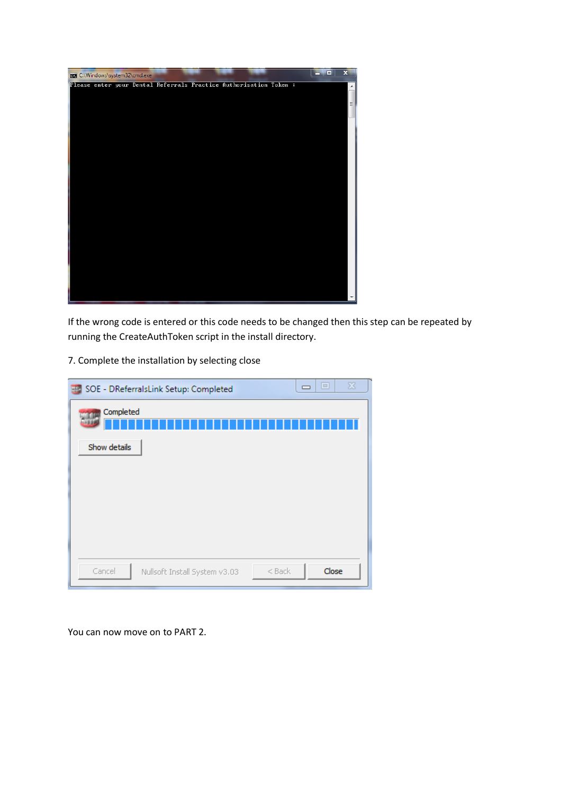

If the wrong code is entered or this code needs to be changed then this step can be repeated by running the CreateAuthToken script in the install directory.

7. Complete the installation by selecting close

|              | SOE - DReferralsLink Setup: Completed     | $\equiv$ | $\Sigma\!$<br>$\boxed{\square}$ |
|--------------|-------------------------------------------|----------|---------------------------------|
| Completed    |                                           |          |                                 |
| Show details |                                           |          |                                 |
|              |                                           |          |                                 |
|              |                                           |          |                                 |
|              |                                           |          |                                 |
|              |                                           |          |                                 |
| Cancel       | $<$ Back<br>Nullsoft Install System v3.03 |          | Close                           |

You can now move on to PART 2.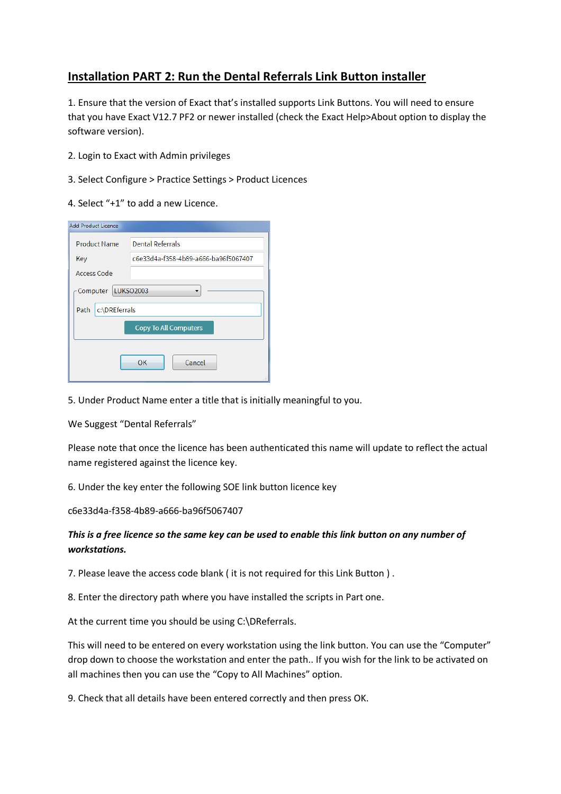# **Installation PART 2: Run the Dental Referrals Link Button installer**

1. Ensure that the version of Exact that's installed supports Link Buttons. You will need to ensure that you have Exact V12.7 PF2 or newer installed (check the Exact Help>About option to display the software version).

- 2. Login to Exact with Admin privileges
- 3. Select Configure > Practice Settings > Product Licences
- 4. Select "+1" to add a new Licence.

| <b>Add Product Licence</b>   |                                      |  |  |  |  |  |
|------------------------------|--------------------------------------|--|--|--|--|--|
| <b>Product Name</b>          | <b>Dental Referrals</b>              |  |  |  |  |  |
| Key                          | c6e33d4a-f358-4b89-a666-ba96f5067407 |  |  |  |  |  |
| Access Code                  |                                      |  |  |  |  |  |
| Computer   LUKSO2003         |                                      |  |  |  |  |  |
| c:\DREferrals<br>Path        |                                      |  |  |  |  |  |
| <b>Copy To All Computers</b> |                                      |  |  |  |  |  |
| Cancel<br>OK                 |                                      |  |  |  |  |  |

5. Under Product Name enter a title that is initially meaningful to you.

We Suggest "Dental Referrals"

Please note that once the licence has been authenticated this name will update to reflect the actual name registered against the licence key.

6. Under the key enter the following SOE link button licence key

c6e33d4a-f358-4b89-a666-ba96f5067407

## *This is a free licence so the same key can be used to enable this link button on any number of workstations.*

7. Please leave the access code blank ( it is not required for this Link Button ) .

8. Enter the directory path where you have installed the scripts in Part one.

At the current time you should be using C:\DReferrals.

This will need to be entered on every workstation using the link button. You can use the "Computer" drop down to choose the workstation and enter the path.. If you wish for the link to be activated on all machines then you can use the "Copy to All Machines" option.

9. Check that all details have been entered correctly and then press OK.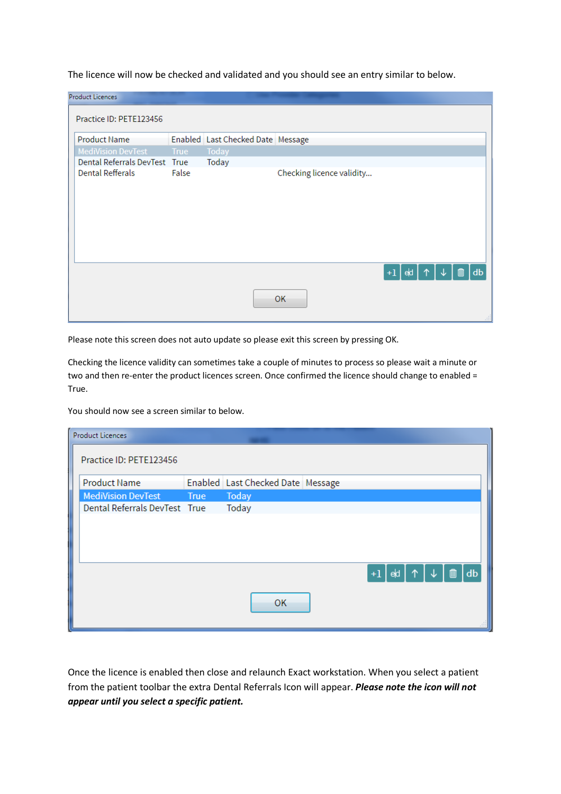The licence will now be checked and validated and you should see an entry similar to below.

|                                                  | <b>Product Licences</b>       |       |                                   |                           |  |  |    |  |  |
|--------------------------------------------------|-------------------------------|-------|-----------------------------------|---------------------------|--|--|----|--|--|
|                                                  | Practice ID: PETE123456       |       |                                   |                           |  |  |    |  |  |
|                                                  | <b>Product Name</b>           |       | Enabled Last Checked Date Message |                           |  |  |    |  |  |
|                                                  | <b>MediVision DevTest</b>     | True  | Today                             |                           |  |  |    |  |  |
|                                                  | Dental Referrals DevTest True |       | Today                             |                           |  |  |    |  |  |
|                                                  | <b>Dental Refferals</b>       | False |                                   | Checking licence validity |  |  |    |  |  |
| $ed \uparrow \uparrow$<br>$+1$<br>m<br><b>OK</b> |                               |       |                                   |                           |  |  | db |  |  |

Please note this screen does not auto update so please exit this screen by pressing OK.

Checking the licence validity can sometimes take a couple of minutes to process so please wait a minute or two and then re-enter the product licences screen. Once confirmed the licence should change to enabled = True.

You should now see a screen similar to below.

| <b>Product Licences</b>       |      |                                   |                          |    |
|-------------------------------|------|-----------------------------------|--------------------------|----|
| Practice ID: PETE123456       |      |                                   |                          |    |
| <b>Product Name</b>           |      | Enabled Last Checked Date Message |                          |    |
| <b>MediVision DevTest</b>     | True | Today                             |                          |    |
| Dental Referrals DevTest True |      | Today                             |                          |    |
|                               |      |                                   |                          |    |
|                               |      |                                   |                          |    |
|                               |      |                                   | │e॑d │ ↑ │ ↓ │ ⋒<br>$+1$ | db |
|                               |      | OK                                |                          |    |

Once the licence is enabled then close and relaunch Exact workstation. When you select a patient from the patient toolbar the extra Dental Referrals Icon will appear. *Please note the icon will not appear until you select a specific patient.*